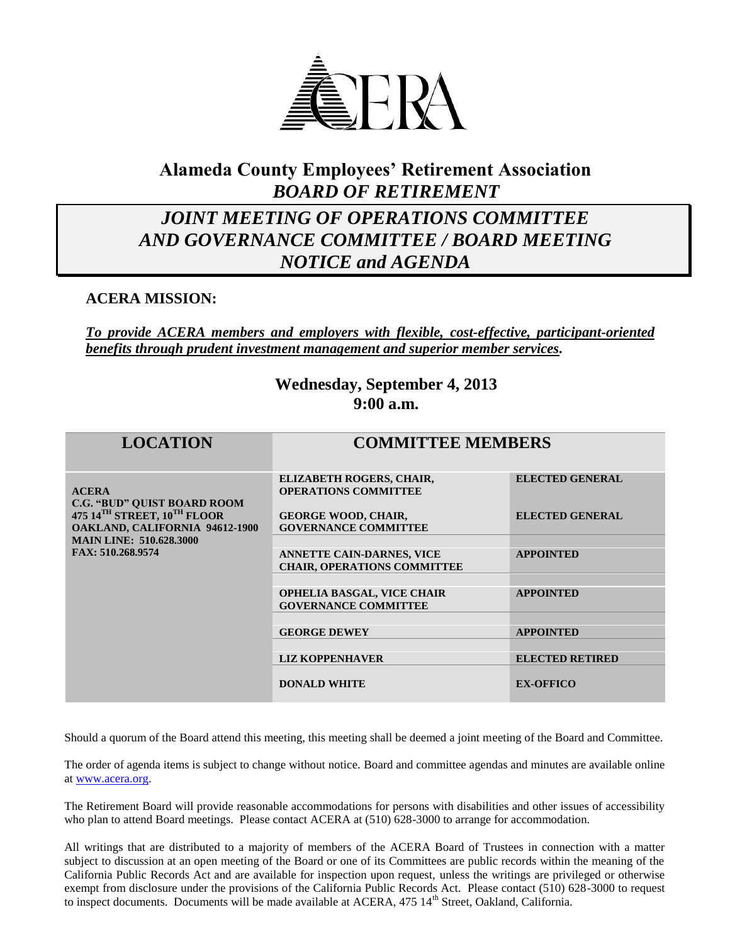

## **Alameda County Employees' Retirement Association** *BOARD OF RETIREMENT*

## *JOINT MEETING OF OPERATIONS COMMITTEE AND GOVERNANCE COMMITTEE / BOARD MEETING NOTICE and AGENDA*

## **ACERA MISSION:**

*To provide ACERA members and employers with flexible, cost-effective, participant-oriented benefits through prudent investment management and superior member services.*

## **Wednesday, September 4, 2013 9:00 a.m.**

| <b>LOCATION</b>                                                                                                                                                                                    | <b>COMMITTEE MEMBERS</b>                                               |                        |
|----------------------------------------------------------------------------------------------------------------------------------------------------------------------------------------------------|------------------------------------------------------------------------|------------------------|
| <b>ACERA</b><br><b>C.G. "BUD" QUIST BOARD ROOM</b><br>475 14 <sup>TH</sup> STREET, 10 <sup>TH</sup> FLOOR<br>OAKLAND, CALIFORNIA 94612-1900<br><b>MAIN LINE: 510.628.3000</b><br>FAX: 510.268.9574 | ELIZABETH ROGERS, CHAIR,<br><b>OPERATIONS COMMITTEE</b>                | <b>ELECTED GENERAL</b> |
|                                                                                                                                                                                                    | <b>GEORGE WOOD, CHAIR,</b><br><b>GOVERNANCE COMMITTEE</b>              | <b>ELECTED GENERAL</b> |
|                                                                                                                                                                                                    | <b>ANNETTE CAIN-DARNES, VICE</b><br><b>CHAIR, OPERATIONS COMMITTEE</b> | <b>APPOINTED</b>       |
|                                                                                                                                                                                                    |                                                                        |                        |
|                                                                                                                                                                                                    | <b>OPHELIA BASGAL, VICE CHAIR</b><br><b>GOVERNANCE COMMITTEE</b>       | <b>APPOINTED</b>       |
|                                                                                                                                                                                                    | <b>GEORGE DEWEY</b>                                                    | <b>APPOINTED</b>       |
|                                                                                                                                                                                                    | <b>LIZ KOPPENHAVER</b>                                                 | <b>ELECTED RETIRED</b> |
|                                                                                                                                                                                                    | <b>DONALD WHITE</b>                                                    | <b>EX-OFFICO</b>       |

Should a quorum of the Board attend this meeting, this meeting shall be deemed a joint meeting of the Board and Committee.

The order of agenda items is subject to change without notice. Board and committee agendas and minutes are available online a[t www.acera.org.](http://www.acera.org/)

The Retirement Board will provide reasonable accommodations for persons with disabilities and other issues of accessibility who plan to attend Board meetings. Please contact ACERA at (510) 628-3000 to arrange for accommodation.

All writings that are distributed to a majority of members of the ACERA Board of Trustees in connection with a matter subject to discussion at an open meeting of the Board or one of its Committees are public records within the meaning of the California Public Records Act and are available for inspection upon request, unless the writings are privileged or otherwise exempt from disclosure under the provisions of the California Public Records Act. Please contact (510) 628-3000 to request to inspect documents. Documents will be made available at ACERA, 475 14<sup>th</sup> Street, Oakland, California.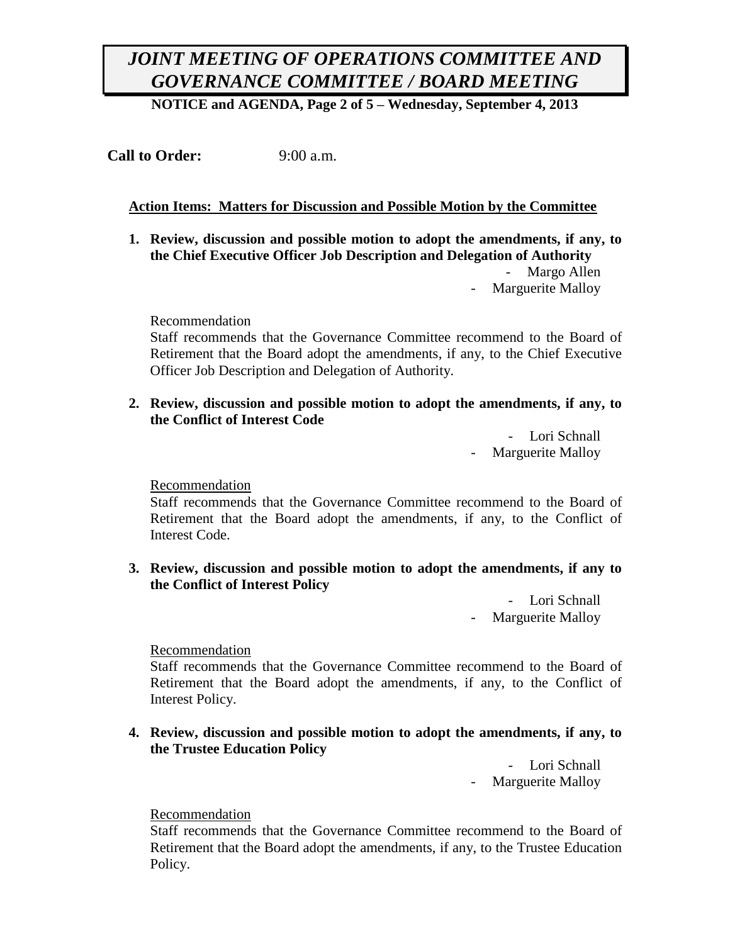**NOTICE and AGENDA, Page 2 of 5 – Wednesday, September 4, 2013**

**Call to Order:** 9:00 a.m.

### **Action Items: Matters for Discussion and Possible Motion by the Committee**

**1. Review, discussion and possible motion to adopt the amendments, if any, to the Chief Executive Officer Job Description and Delegation of Authority** Margo Allen

Marguerite Malloy

Recommendation

Staff recommends that the Governance Committee recommend to the Board of Retirement that the Board adopt the amendments, if any, to the Chief Executive Officer Job Description and Delegation of Authority.

**2. Review, discussion and possible motion to adopt the amendments, if any, to the Conflict of Interest Code**

> - Lori Schnall - Marguerite Malloy

Recommendation

Staff recommends that the Governance Committee recommend to the Board of Retirement that the Board adopt the amendments, if any, to the Conflict of Interest Code.

**3. Review, discussion and possible motion to adopt the amendments, if any to the Conflict of Interest Policy**

> - Lori Schnall Marguerite Malloy

#### Recommendation

Staff recommends that the Governance Committee recommend to the Board of Retirement that the Board adopt the amendments, if any, to the Conflict of Interest Policy.

**4. Review, discussion and possible motion to adopt the amendments, if any, to the Trustee Education Policy**

> - Lori Schnall Marguerite Malloy

#### Recommendation

Staff recommends that the Governance Committee recommend to the Board of Retirement that the Board adopt the amendments, if any, to the Trustee Education Policy.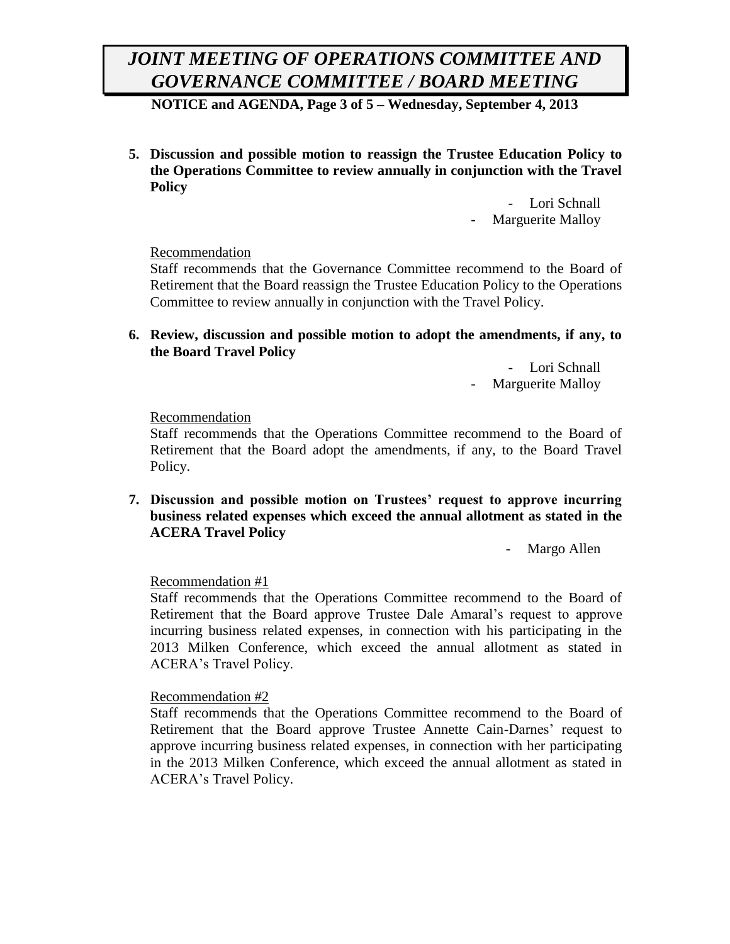**NOTICE and AGENDA, Page 3 of 5 – Wednesday, September 4, 2013**

**5. Discussion and possible motion to reassign the Trustee Education Policy to the Operations Committee to review annually in conjunction with the Travel Policy**

> - Lori Schnall Marguerite Malloy

### Recommendation

Staff recommends that the Governance Committee recommend to the Board of Retirement that the Board reassign the Trustee Education Policy to the Operations Committee to review annually in conjunction with the Travel Policy.

**6. Review, discussion and possible motion to adopt the amendments, if any, to the Board Travel Policy**

> - Lori Schnall Marguerite Malloy

#### Recommendation

Staff recommends that the Operations Committee recommend to the Board of Retirement that the Board adopt the amendments, if any, to the Board Travel Policy.

**7. Discussion and possible motion on Trustees' request to approve incurring business related expenses which exceed the annual allotment as stated in the ACERA Travel Policy**

Margo Allen

### Recommendation #1

Staff recommends that the Operations Committee recommend to the Board of Retirement that the Board approve Trustee Dale Amaral's request to approve incurring business related expenses, in connection with his participating in the 2013 Milken Conference, which exceed the annual allotment as stated in ACERA's Travel Policy.

#### Recommendation #2

Staff recommends that the Operations Committee recommend to the Board of Retirement that the Board approve Trustee Annette Cain-Darnes' request to approve incurring business related expenses, in connection with her participating in the 2013 Milken Conference, which exceed the annual allotment as stated in ACERA's Travel Policy.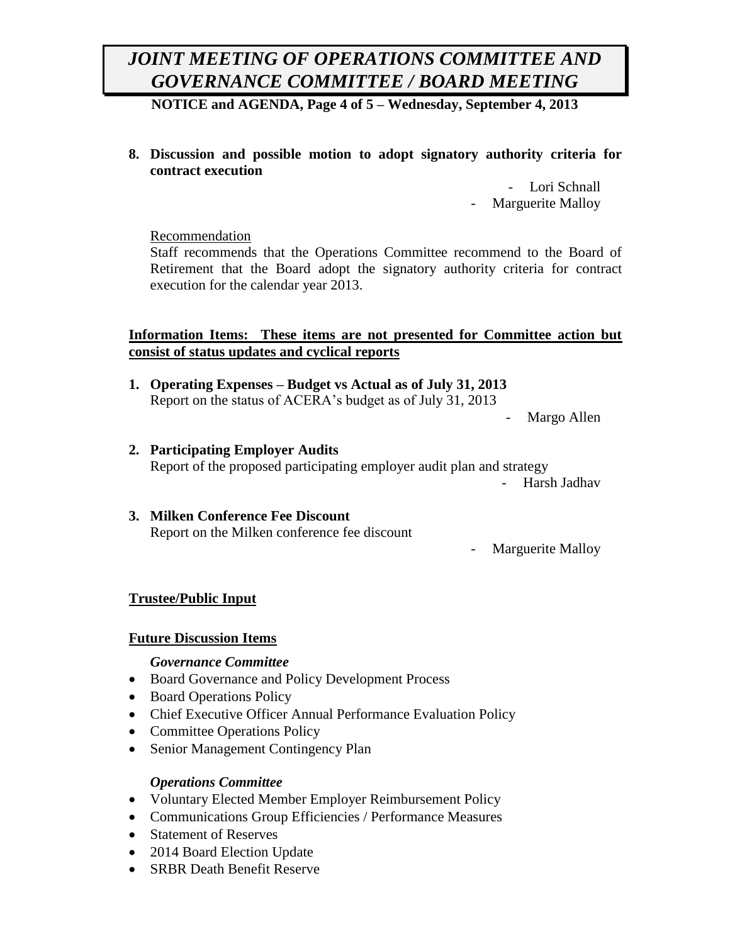**NOTICE and AGENDA, Page 4 of 5 – Wednesday, September 4, 2013**

**8. Discussion and possible motion to adopt signatory authority criteria for contract execution**

> - Lori Schnall Marguerite Malloy

### Recommendation

Staff recommends that the Operations Committee recommend to the Board of Retirement that the Board adopt the signatory authority criteria for contract execution for the calendar year 2013.

### **Information Items: These items are not presented for Committee action but consist of status updates and cyclical reports**

**1. Operating Expenses – Budget vs Actual as of July 31, 2013** Report on the status of ACERA's budget as of July 31, 2013

Margo Allen

**2. Participating Employer Audits** Report of the proposed participating employer audit plan and strategy

- Harsh Jadhav

## **3. Milken Conference Fee Discount** Report on the Milken conference fee discount

- Marguerite Malloy

## **Trustee/Public Input**

## **Future Discussion Items**

## *Governance Committee*

- Board Governance and Policy Development Process
- Board Operations Policy
- Chief Executive Officer Annual Performance Evaluation Policy
- Committee Operations Policy
- Senior Management Contingency Plan

## *Operations Committee*

- Voluntary Elected Member Employer Reimbursement Policy
- Communications Group Efficiencies / Performance Measures
- Statement of Reserves
- 2014 Board Election Update
- SRBR Death Benefit Reserve